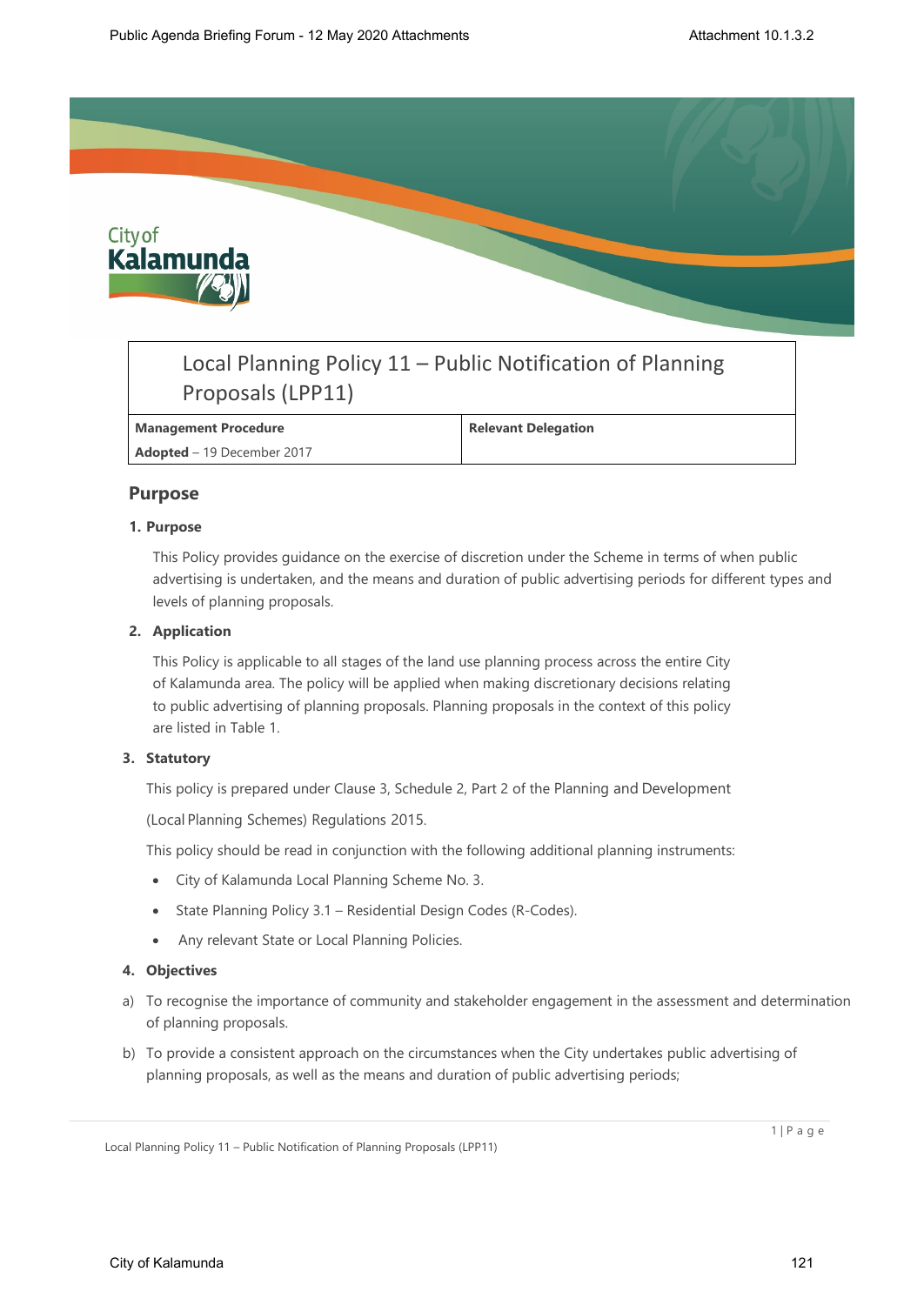

# Local Planning Policy 11 – Public Notification of Planning Proposals (LPP11)

## **Management Procedure Relevant Delegation**

**Adopted** – 19 December 2017

# **Purpose**

## **1. Purpose**

This Policy provides guidance on the exercise of discretion under the Scheme in terms of when public advertising is undertaken, and the means and duration of public advertising periods for different types and levels of planning proposals.

## **2. Application**

This Policy is applicable to all stages of the land use planning process across the entire City of Kalamunda area. The policy will be applied when making discretionary decisions relating to public advertising of planning proposals. Planning proposals in the context of this policy are listed in Table 1.

#### **3. Statutory**

This policy is prepared under Clause 3, Schedule 2, Part 2 of the Planning and Development

(Local Planning Schemes) Regulations 2015.

This policy should be read in conjunction with the following additional planning instruments:

- City of Kalamunda Local Planning Scheme No. 3.
- State Planning Policy 3.1 Residential Design Codes (R-Codes).
- Any relevant State or Local Planning Policies.

#### **4. Objectives**

- a) To recognise the importance of community and stakeholder engagement in the assessment and determination of planning proposals.
- b) To provide a consistent approach on the circumstances when the City undertakes public advertising of planning proposals, as well as the means and duration of public advertising periods;

1 | P a g e

Local Planning Policy 11 – Public Notification of Planning Proposals (LPP11)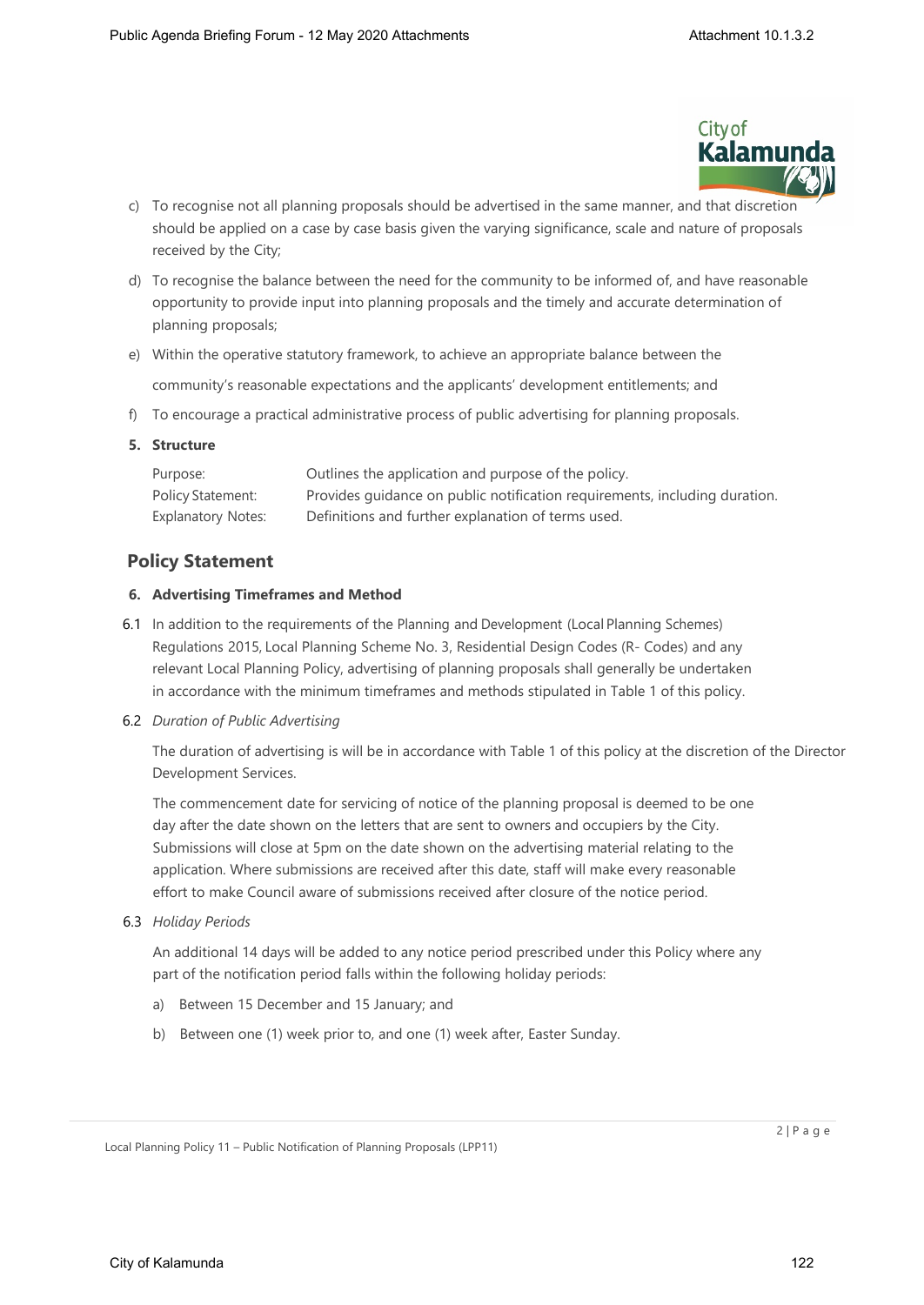

- c) To recognise not all planning proposals should be advertised in the same manner, and that discretion should be applied on a case by case basis given the varying significance, scale and nature of proposals received by the City;
- d) To recognise the balance between the need for the community to be informed of, and have reasonable opportunity to provide input into planning proposals and the timely and accurate determination of planning proposals;
- e) Within the operative statutory framework, to achieve an appropriate balance between the community's reasonable expectations and the applicants' development entitlements; and
- f) To encourage a practical administrative process of public advertising for planning proposals.

#### **5. Structure**

| Purpose:           | Outlines the application and purpose of the policy.                        |
|--------------------|----------------------------------------------------------------------------|
| Policy Statement:  | Provides quidance on public notification requirements, including duration. |
| Explanatory Notes: | Definitions and further explanation of terms used.                         |

# **Policy Statement**

#### **6. Advertising Timeframes and Method**

6.1 In addition to the requirements of the Planning and Development (Local Planning Schemes) Regulations 2015, Local Planning Scheme No. 3, Residential Design Codes (R- Codes) and any relevant Local Planning Policy, advertising of planning proposals shall generally be undertaken in accordance with the minimum timeframes and methods stipulated in Table 1 of this policy.

#### 6.2 *Duration of Public Advertising*

The duration of advertising is will be in accordance with Table 1 of this policy at the discretion of the Director Development Services.

The commencement date for servicing of notice of the planning proposal is deemed to be one day after the date shown on the letters that are sent to owners and occupiers by the City. Submissions will close at 5pm on the date shown on the advertising material relating to the application. Where submissions are received after this date, staff will make every reasonable effort to make Council aware of submissions received after closure of the notice period.

6.3 *Holiday Periods*

An additional 14 days will be added to any notice period prescribed under this Policy where any part of the notification period falls within the following holiday periods:

- a) Between 15 December and 15 January; and
- b) Between one (1) week prior to, and one (1) week after, Easter Sunday.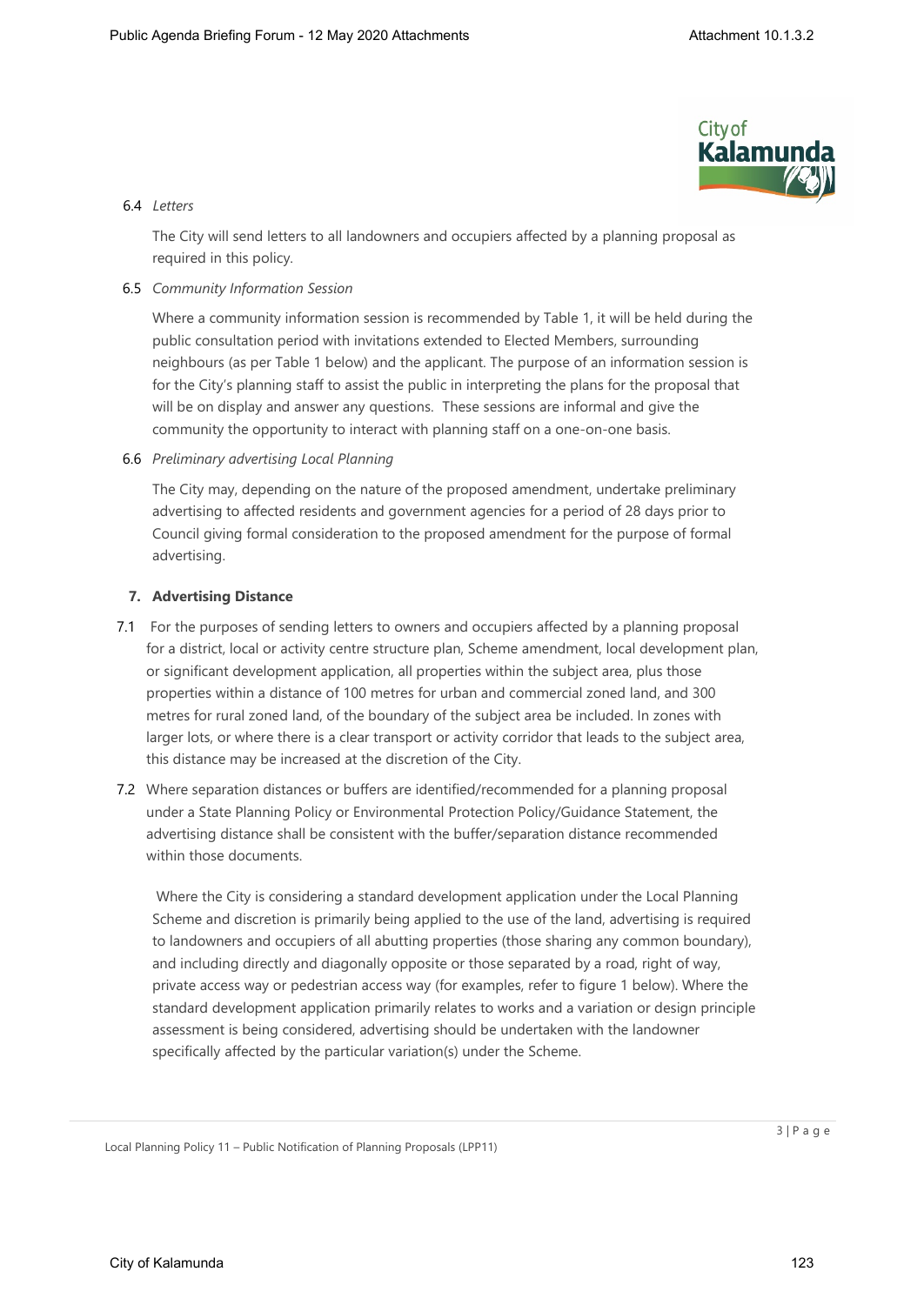

## 6.4 *Letters*

The City will send letters to all landowners and occupiers affected by a planning proposal as required in this policy.

## 6.5 *Community Information Session*

Where a community information session is recommended by Table 1, it will be held during the public consultation period with invitations extended to Elected Members, surrounding neighbours (as per Table 1 below) and the applicant. The purpose of an information session is for the City's planning staff to assist the public in interpreting the plans for the proposal that will be on display and answer any questions. These sessions are informal and give the community the opportunity to interact with planning staff on a one-on-one basis.

6.6 *Preliminary advertising Local Planning* 

The City may, depending on the nature of the proposed amendment, undertake preliminary advertising to affected residents and government agencies for a period of 28 days prior to Council giving formal consideration to the proposed amendment for the purpose of formal advertising.

## **7. Advertising Distance**

- 7.1 For the purposes of sending letters to owners and occupiers affected by a planning proposal for a district, local or activity centre structure plan, Scheme amendment, local development plan, or significant development application, all properties within the subject area, plus those properties within a distance of 100 metres for urban and commercial zoned land, and 300 metres for rural zoned land, of the boundary of the subject area be included. In zones with larger lots, or where there is a clear transport or activity corridor that leads to the subject area, this distance may be increased at the discretion of the City.
- 7.2 Where separation distances or buffers are identified/recommended for a planning proposal under a State Planning Policy or Environmental Protection Policy/Guidance Statement, the advertising distance shall be consistent with the buffer/separation distance recommended within those documents.

 Where the City is considering a standard development application under the Local Planning Scheme and discretion is primarily being applied to the use of the land, advertising is required to landowners and occupiers of all abutting properties (those sharing any common boundary), and including directly and diagonally opposite or those separated by a road, right of way, private access way or pedestrian access way (for examples, refer to figure 1 below). Where the standard development application primarily relates to works and a variation or design principle assessment is being considered, advertising should be undertaken with the landowner specifically affected by the particular variation(s) under the Scheme.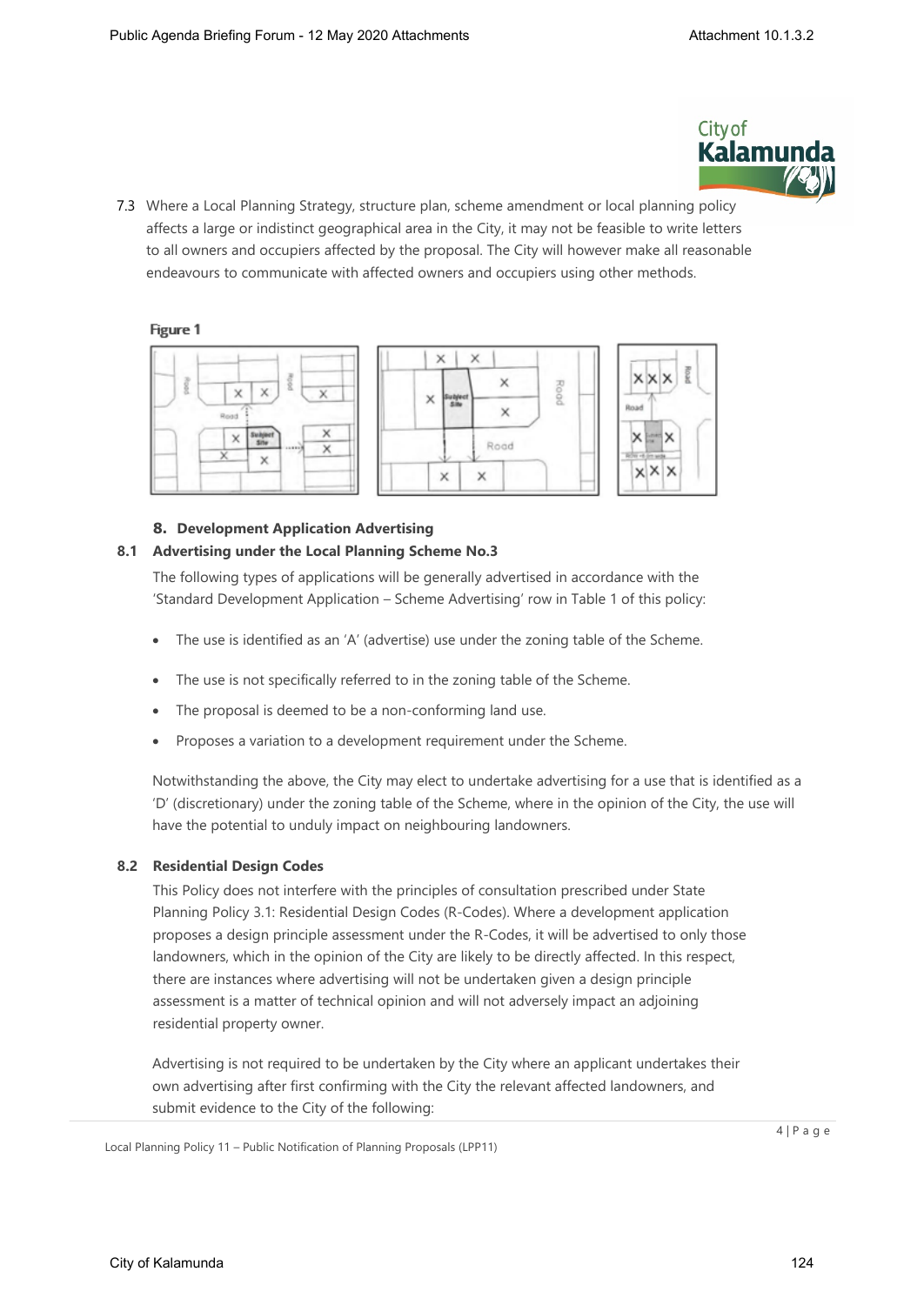

7.3 Where a Local Planning Strategy, structure plan, scheme amendment or local planning policy affects a large or indistinct geographical area in the City, it may not be feasible to write letters to all owners and occupiers affected by the proposal. The City will however make all reasonable endeavours to communicate with affected owners and occupiers using other methods.

# Figure 1





Rootd

# **8. Development Application Advertising**

## **8.1 Advertising under the Local Planning Scheme No.3**

The following types of applications will be generally advertised in accordance with the 'Standard Development Application – Scheme Advertising' row in Table 1 of this policy:

- The use is identified as an 'A' (advertise) use under the zoning table of the Scheme.
- The use is not specifically referred to in the zoning table of the Scheme.
- The proposal is deemed to be a non-conforming land use.
- Proposes a variation to a development requirement under the Scheme.

Notwithstanding the above, the City may elect to undertake advertising for a use that is identified as a 'D' (discretionary) under the zoning table of the Scheme, where in the opinion of the City, the use will have the potential to unduly impact on neighbouring landowners.

# **8.2 Residential Design Codes**

This Policy does not interfere with the principles of consultation prescribed under State Planning Policy 3.1: Residential Design Codes (R-Codes). Where a development application proposes a design principle assessment under the R-Codes, it will be advertised to only those landowners, which in the opinion of the City are likely to be directly affected. In this respect, there are instances where advertising will not be undertaken given a design principle assessment is a matter of technical opinion and will not adversely impact an adjoining residential property owner.

Advertising is not required to be undertaken by the City where an applicant undertakes their own advertising after first confirming with the City the relevant affected landowners, and submit evidence to the City of the following:

Local Planning Policy 11 – Public Notification of Planning Proposals (LPP11)

 $4 | P a q e$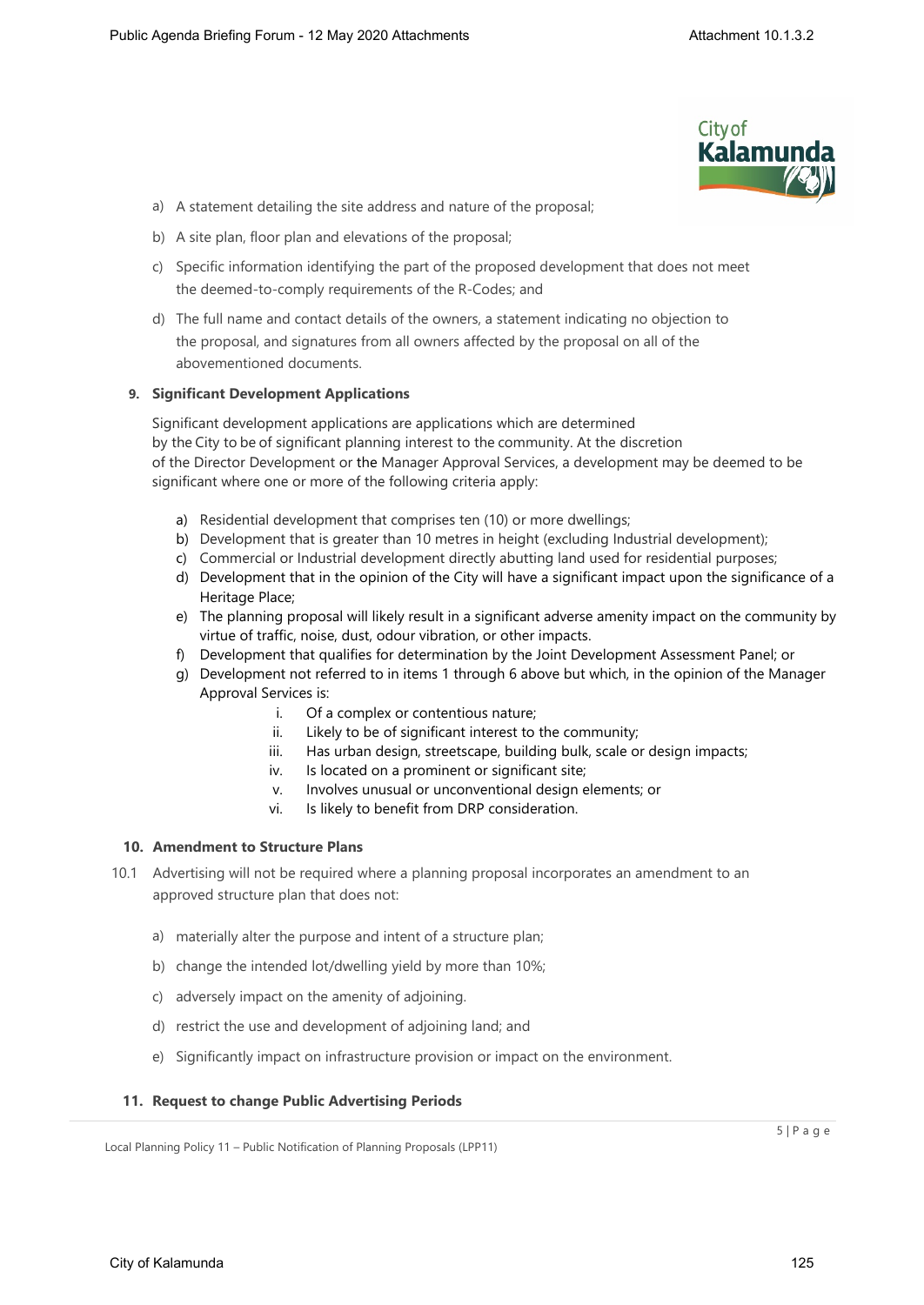

- a) A statement detailing the site address and nature of the proposal;
- b) A site plan, floor plan and elevations of the proposal;
- c) Specific information identifying the part of the proposed development that does not meet the deemed-to-comply requirements of the R-Codes; and
- d) The full name and contact details of the owners, a statement indicating no objection to the proposal, and signatures from all owners affected by the proposal on all of the abovementioned documents.

#### **9. Significant Development Applications**

Significant development applications are applications which are determined by the City to be of significant planning interest to the community. At the discretion of the Director Development or the Manager Approval Services, a development may be deemed to be significant where one or more of the following criteria apply:

- a) Residential development that comprises ten (10) or more dwellings;
- b) Development that is greater than 10 metres in height (excluding Industrial development);
- c) Commercial or Industrial development directly abutting land used for residential purposes;
- d) Development that in the opinion of the City will have a significant impact upon the significance of a Heritage Place;
- e) The planning proposal will likely result in a significant adverse amenity impact on the community by virtue of traffic, noise, dust, odour vibration, or other impacts.
- f) Development that qualifies for determination by the Joint Development Assessment Panel; or
- g) Development not referred to in items 1 through 6 above but which, in the opinion of the Manager Approval Services is:
	- i. Of a complex or contentious nature;
	- ii. Likely to be of significant interest to the community;
	- iii. Has urban design, streetscape, building bulk, scale or design impacts;
	- iv. Is located on a prominent or significant site;
	- v. Involves unusual or unconventional design elements; or
	- vi. Is likely to benefit from DRP consideration.

#### **10. Amendment to Structure Plans**

- 10.1 Advertising will not be required where a planning proposal incorporates an amendment to an approved structure plan that does not:
	- a) materially alter the purpose and intent of a structure plan;
	- b) change the intended lot/dwelling yield by more than 10%;
	- c) adversely impact on the amenity of adjoining.
	- d) restrict the use and development of adjoining land; and
	- e) Significantly impact on infrastructure provision or impact on the environment.

#### **11. Request to change Public Advertising Periods**

Local Planning Policy 11 – Public Notification of Planning Proposals (LPP11)

 $5 | P a q e$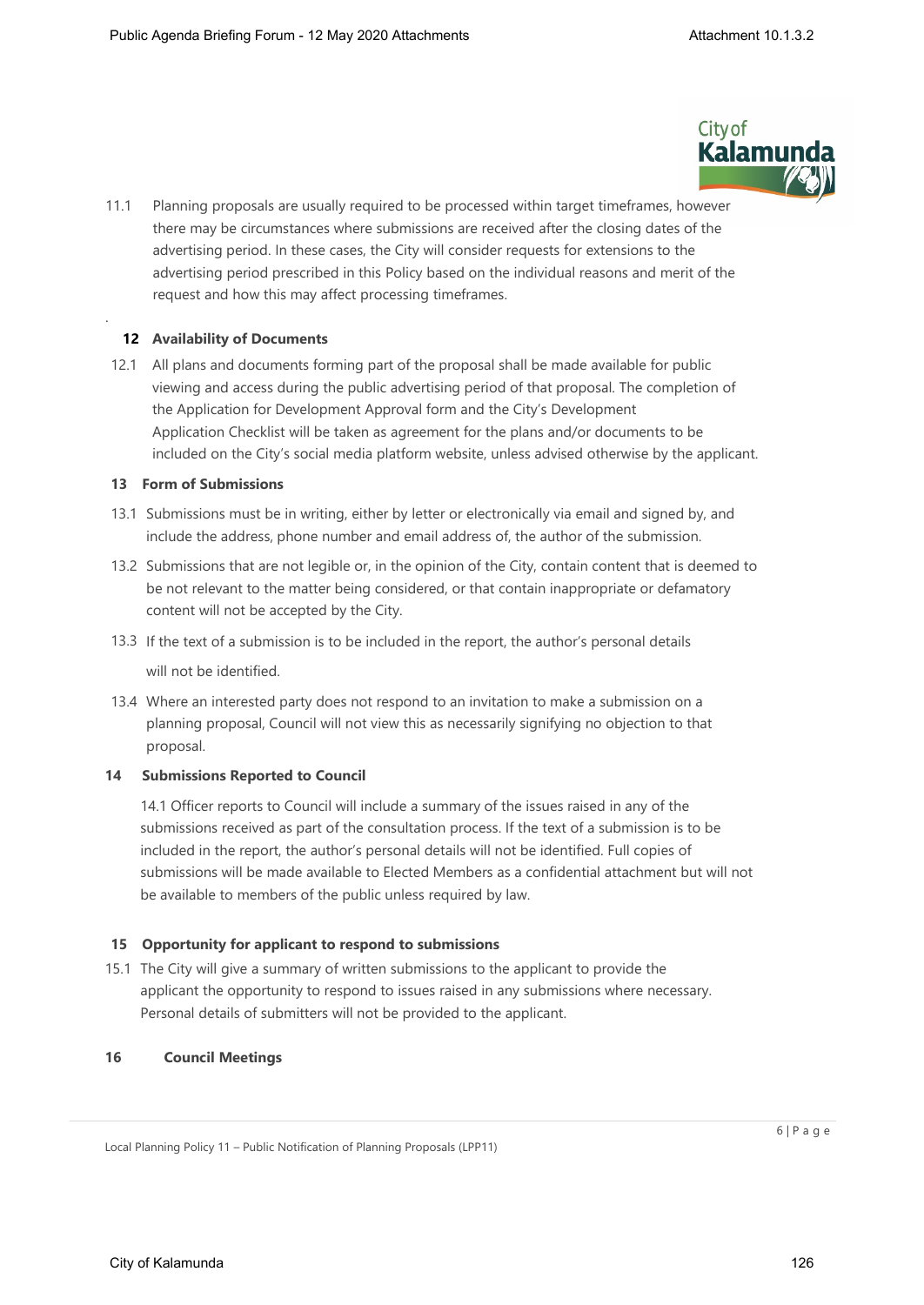

11.1 Planning proposals are usually required to be processed within target timeframes, however there may be circumstances where submissions are received after the closing dates of the advertising period. In these cases, the City will consider requests for extensions to the advertising period prescribed in this Policy based on the individual reasons and merit of the request and how this may affect processing timeframes.

# **12 Availability of Documents**

.

12.1 All plans and documents forming part of the proposal shall be made available for public viewing and access during the public advertising period of that proposal. The completion of the Application for Development Approval form and the City's Development Application Checklist will be taken as agreement for the plans and/or documents to be included on the City's social media platform website, unless advised otherwise by the applicant.

## **13 Form of Submissions**

- 13.1 Submissions must be in writing, either by letter or electronically via email and signed by, and include the address, phone number and email address of, the author of the submission.
- 13.2 Submissions that are not legible or, in the opinion of the City, contain content that is deemed to be not relevant to the matter being considered, or that contain inappropriate or defamatory content will not be accepted by the City.
- 13.3 If the text of a submission is to be included in the report, the author's personal details will not be identified.
- 13.4 Where an interested party does not respond to an invitation to make a submission on a planning proposal, Council will not view this as necessarily signifying no objection to that proposal.

# **14 Submissions Reported to Council**

14.1 Officer reports to Council will include a summary of the issues raised in any of the submissions received as part of the consultation process. If the text of a submission is to be included in the report, the author's personal details will not be identified. Full copies of submissions will be made available to Elected Members as a confidential attachment but will not be available to members of the public unless required by law.

# **15 Opportunity for applicant to respond to submissions**

15.1 The City will give a summary of written submissions to the applicant to provide the applicant the opportunity to respond to issues raised in any submissions where necessary. Personal details of submitters will not be provided to the applicant.

#### **16 Council Meetings**

Local Planning Policy 11 – Public Notification of Planning Proposals (LPP11)

 $6 | P a q e$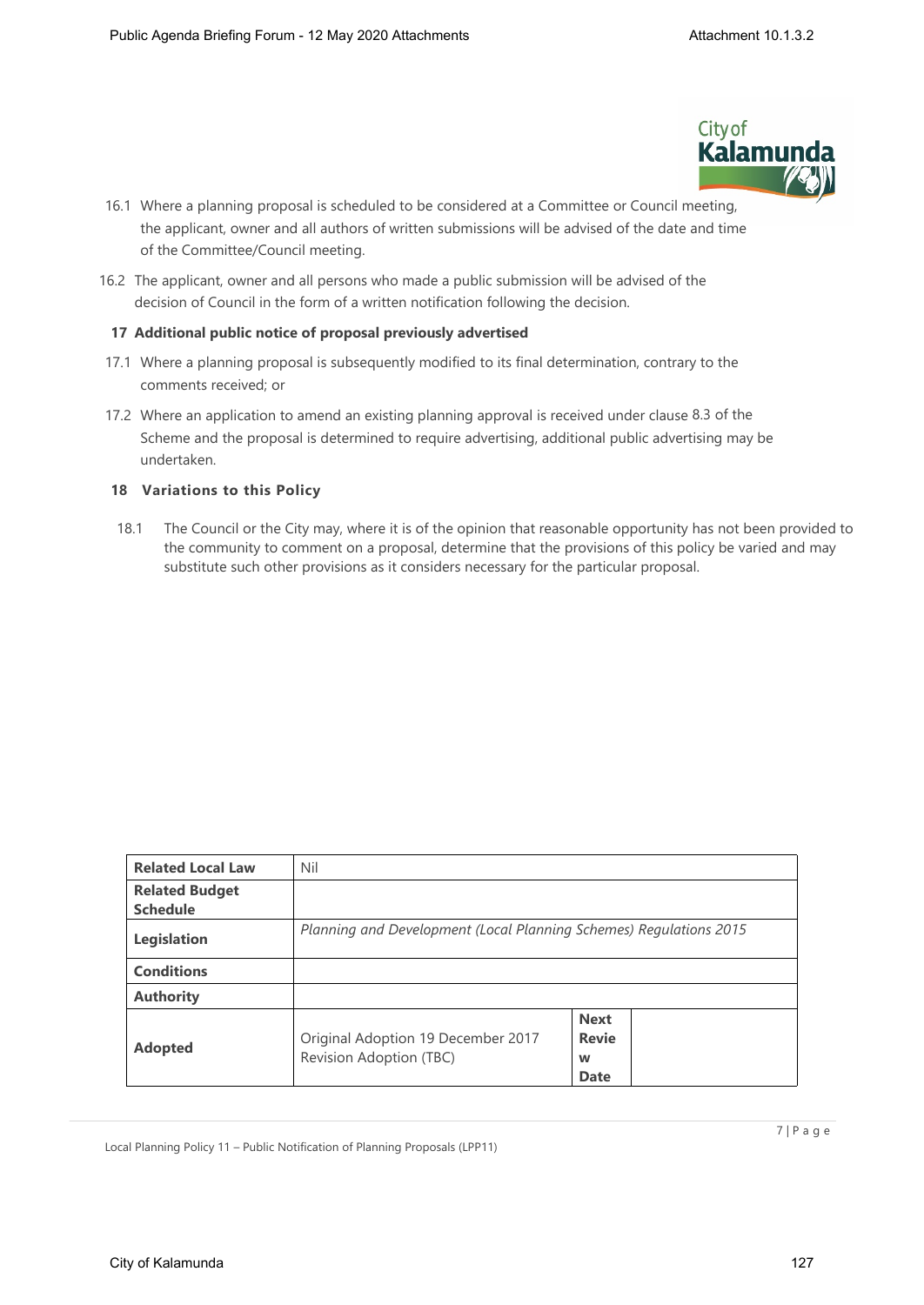

- 16.1 Where a planning proposal is scheduled to be considered at a Committee or Council meeting, the applicant, owner and all authors of written submissions will be advised of the date and time of the Committee/Council meeting.
- 16.2 The applicant, owner and all persons who made a public submission will be advised of the decision of Council in the form of a written notification following the decision.

#### **17 Additional public notice of proposal previously advertised**

- 17.1 Where a planning proposal is subsequently modified to its final determination, contrary to the comments received; or
- 17.2 Where an application to amend an existing planning approval is received under clause 8.3 of the Scheme and the proposal is determined to require advertising, additional public advertising may be undertaken.

#### **18 Variations to this Policy**

18.1 The Council or the City may, where it is of the opinion that reasonable opportunity has not been provided to the community to comment on a proposal, determine that the provisions of this policy be varied and may substitute such other provisions as it considers necessary for the particular proposal.

| <b>Related Local Law</b> | Nil                                                                |                                                 |  |  |  |  |  |
|--------------------------|--------------------------------------------------------------------|-------------------------------------------------|--|--|--|--|--|
| <b>Related Budget</b>    |                                                                    |                                                 |  |  |  |  |  |
| <b>Schedule</b>          |                                                                    |                                                 |  |  |  |  |  |
| Legislation              | Planning and Development (Local Planning Schemes) Regulations 2015 |                                                 |  |  |  |  |  |
| <b>Conditions</b>        |                                                                    |                                                 |  |  |  |  |  |
| <b>Authority</b>         |                                                                    |                                                 |  |  |  |  |  |
| <b>Adopted</b>           | Original Adoption 19 December 2017<br>Revision Adoption (TBC)      | <b>Next</b><br><b>Revie</b><br>W<br><b>Date</b> |  |  |  |  |  |

Local Planning Policy 11 – Public Notification of Planning Proposals (LPP11)

7 | P a g e